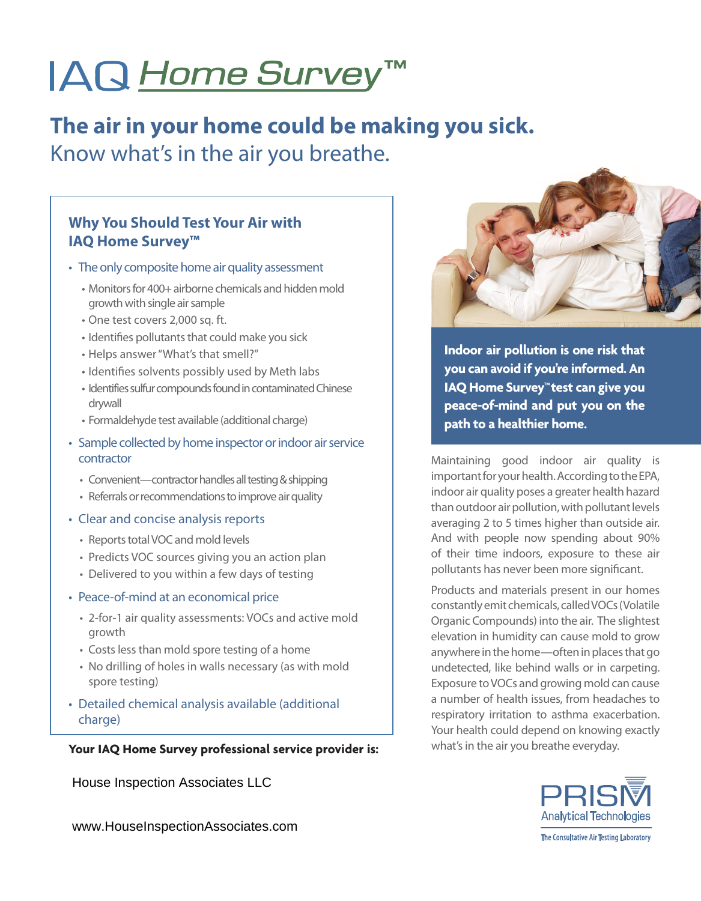# IAQ Home Survey™

# **The air in your home could be making you sick.** Know what's in the air you breathe.

#### **Why You Should Test Your Air with IAQ Home Survey™**

- The only composite home air quality assessment
	- Monitors for 400+ airborne chemicals and hidden mold growth with single air sample
	- • One test covers 2,000 sq. ft.
	- Identifies pollutants that could make you sick
	- Helps answer "What's that smell?"
	- Identifies solvents possibly used by Meth labs
	- Identifies sulfur compounds found in contaminated Chinese drywall
	- Formaldehyde test available (additional charge)
- Sample collected by home inspector or indoor air service contractor
	- Convenient—contractor handles all testing & shipping
	- Referrals or recommendations to improve air quality
- Clear and concise analysis reports
	- Reports total VOC and mold levels
	- Predicts VOC sources giving you an action plan
	- Delivered to you within a few days of testing
- Peace-of-mind at an economical price
	- • 2-for-1 air quality assessments: VOCs and active mold growth
	- Costs less than mold spore testing of a home
	- No drilling of holes in walls necessary (as with mold spore testing)
- Detailed chemical analysis available (additional charge)

#### **Your IAQ Home Survey professional service provider is:**

House Inspection Associates LLC

www.HouseInspectionAssociates.com



**Indoor air pollution is one risk that you can avoid if you're informed. An IAQ Home Survey™ test can give you peace-of-mind and put you on the path to a healthier home.**

Maintaining good indoor air quality is important for your health. According to the EPA, indoor air quality poses a greater health hazard than outdoor air pollution, with pollutant levels averaging 2 to 5 times higher than outside air. And with people now spending about 90% of their time indoors, exposure to these air pollutants has never been more significant.

Products and materials present in our homes constantly emit chemicals, called VOCs (Volatile Organic Compounds) into the air. The slightest elevation in humidity can cause mold to grow anywhere in the home-often in places that go undetected, like behind walls or in carpeting. Exposure toVOCs and growing mold can cause a number of health issues, from headaches to respiratory irritation to asthma exacerbation. Your health could depend on knowing exactly what's in the air you breathe everyday.